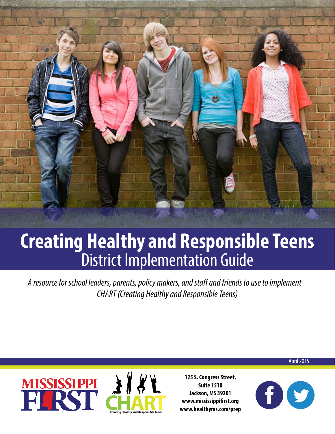

# **Creating Healthy and Responsible Teens** District Implementation Guide

*A resource for school leaders, parents, policy makers, and staff and friends to use to implement-- CHART (Creating Healthy and Responsible Teens)*





**125 S. Congress Street, Suite 1510 Jackson, MS 39201 www.mississippifirst.org www.healthyms.com/prep**



April 2015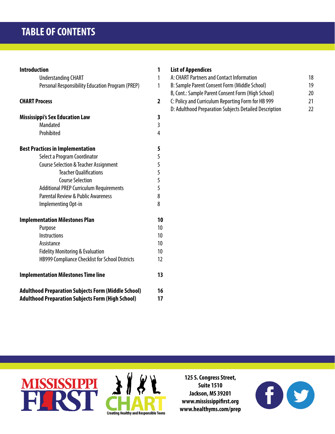| <b>Introduction</b>                                                                                                    | 1              |
|------------------------------------------------------------------------------------------------------------------------|----------------|
| <b>Understanding CHART</b>                                                                                             | 1              |
| Personal Responsibility Education Program (PREP)                                                                       | 1              |
| <b>CHART Process</b>                                                                                                   | 2              |
| <b>Mississippi's Sex Education Law</b>                                                                                 | 3              |
| <b>Mandated</b>                                                                                                        | $\overline{3}$ |
| Prohibited                                                                                                             | 4              |
| <b>Best Practices in Implementation</b>                                                                                | 5              |
| Select a Program Coordinator                                                                                           | 5              |
| <b>Course Selection &amp; Teacher Assignment</b>                                                                       | 5              |
| <b>Teacher Qualifications</b>                                                                                          | 5              |
| <b>Course Selection</b>                                                                                                | 5              |
| <b>Additional PREP Curriculum Requirements</b>                                                                         | 5              |
| <b>Parental Review &amp; Public Awareness</b>                                                                          | 8              |
| Implementing Opt-in                                                                                                    | 8              |
| <b>Implementation Milestones Plan</b>                                                                                  | 10             |
| Purpose                                                                                                                | 10             |
| <b>Instructions</b>                                                                                                    | 10             |
| Assistance                                                                                                             | 10             |
| <b>Fidelity Monitoring &amp; Evaluation</b>                                                                            | 10             |
| HB999 Compliance Checklist for School Districts                                                                        | 12             |
| <b>Implementation Milestones Time line</b>                                                                             | 13             |
| <b>Adulthood Preparation Subjects Form (Middle School)</b><br><b>Adulthood Preparation Subjects Form (High School)</b> | 16<br>17       |

### **[List of Appendices](#page-19-0)**

| A: CHART Partners and Contact Information              | 18 |
|--------------------------------------------------------|----|
| B: Sample Parent Consent Form (Middle School)          | 19 |
| B, Cont.: Sample Parent Consent Form (High School)     | 20 |
| C: Policy and Curriculum Reporting Form for HB 999     | 21 |
| D: Adulthood Preparation Subjects Detailed Description | רר |





**125 S. Congress Street, Suite 1510 Jackson, MS 39201 www.mississippifirst.org www.healthyms.com/prep**

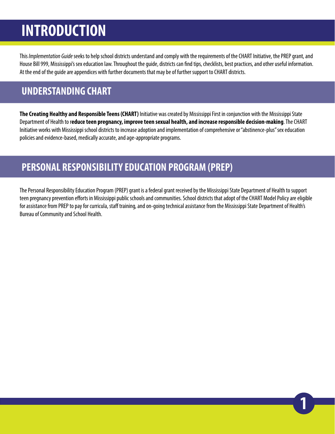# <span id="page-2-0"></span>**INTRODUCTION**

This *Implementation Guide* seeks to help school districts understand and comply with the requirements of the CHART Initiative, the PREP grant, and House Bill 999, Mississippi's sex education law. Throughout the guide, districts can find tips, checklists, best practices, and other useful information. At the end of the guide are appendices with further documents that may be of further support to CHART districts.

# **UNDERSTANDING CHART**

**The Creating Healthy and Responsible Teens (CHART)** Initiative was created by Mississippi First in conjunction with the Mississippi State Department of Health to r**educe teen pregnancy, improve teen sexual health, and increase responsible decision-making**. The CHART Initiative works with Mississippi school districts to increase adoption and implementation of comprehensive or "abstinence-plus" sex education policies and evidence-based, medically accurate, and age-appropriate programs.

# **PERSONAL RESPONSIBILITY EDUCATION PROGRAM (PREP)**

The Personal Responsibility Education Program (PREP) grant is a federal grant received by the Mississippi State Department of Health to support teen pregnancy prevention efforts in Mississippi public schools and communities. School districts that adopt of the CHART Model Policy are eligible for assistance from PREP to pay for curricula, staff training, and on-going technical assistance from the Mississippi State Department of Health's Bureau of Community and School Health.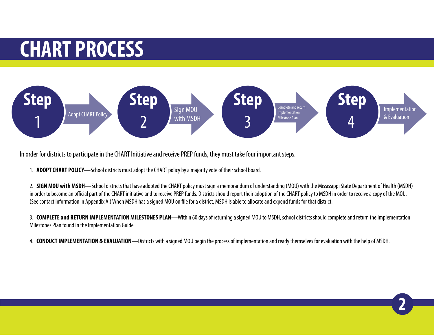# <span id="page-3-0"></span>**CHART PROCESS**



In order for districts to participate in the CHART Initiative and receive PREP funds, they must take four important steps.

1. **ADOPT CHART POLICY**—School districts must adopt the CHART policy by a majority vote of their school board.

2. **SIGN MOU with MSDH**—School districts that have adopted the CHART policy must sign a memorandum of understanding (MOU) with the Mississippi State Department of Health (MSDH) in order to become an official part of the CHART initiative and to receive PREP funds. Districts should report their adoption of the CHART policy to MSDH in order to receive a copy of the MOU. (See contact information in Appendix A.) When MSDH has a signed MOU on file for a district, MSDH is able to allocate and expend funds for that district.

3. **COMPLETE and RETURN IMPLEMENTATION MILESTONES PLAN**—Within 60 days of returning a signed MOU to MSDH, school districts should complete and return the Implementation Milestones Plan found in the Implementation Guide.

**2**

4. **CONDUCT IMPLEMENTATION & EVALUATION**—Districts with a signed MOU begin the process of implementation and ready themselves for evaluation with the help of MSDH.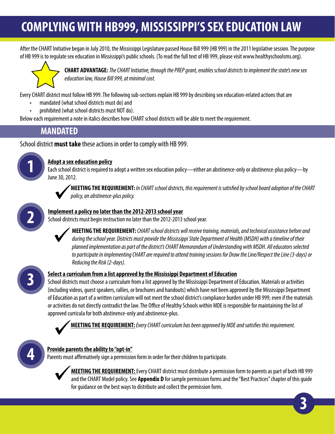# <span id="page-4-0"></span>**COMPLYING WITH HB999, MISSISSIPPI'S SEX EDUCATION LAW**

After the CHART Initiative began in July 2010, the Mississippi Legislature passed House Bill 999 (HB 999) in the 2011 legislative session. The purpose of HB 999 is to regulate sex education in Mississippi's public schools. (To read the full text of HB 999, please visit www.healthyschoolsms.org).



**CHART ADVANTAGE:** *The CHART Initiative, through the PREP grant, enables school districts to implement the state's new sex education law, House Bill 999, at minimal cost.*

Every CHART district must follow HB 999. The following sub-sections explain HB 999 by describing sex education-related actions that are

- mandated (what school districts must do) and
- prohibited (what school districts must NOT do).

Below each requirement a note in italics describes how CHART school districts will be able to meet the requirement.

# **MANDATED**

School district **must take** these actions in order to comply with HB 999.



### **1 Adopt a sex education policy**

Each school district is required to adopt a written sex education policy—either an abstinence-only or abstinence-plus policy—by June 30, 2012.



**MEETING THE REQUIREMENT:** *In CHART school districts, this requirement is satisfied by school board adoption of the CHART policy, an abstinence-plus policy.*



### **Implement a policy no later than the 2012-2013 school year**

School districts must begin instruction no later than the 2012-2013 school year.

**MEETING THE REQUIREMENT:** *CHART school districts will receive training, materials, and technical assistance before and during the school year. Districts must provide the Mississippi State Department of Health (MSDH) with a timeline of their planned implementation as part of the district's CHART Memorandum of Understanding with MSDH. All educators selected to participate in implementing CHART are required to attend training sessions for Draw the Line/Respect the Line (3-days) or Reducing the Risk (2-days).*



### **Select a curriculum from a list approved by the Mississippi Department of Education**

School districts must choose a curriculum from a list approved by the Mississippi Department of Education. Materials or activities (including videos, guest speakers, rallies, or brochures and handouts) which have not been approved by the Mississippi Department of Education as part of a written curriculum will not meet the school district's compliance burden under HB 999, even if the materials or activities do not directly contradict the law. The Office of Healthy Schools within MDE is responsible for maintaining the list of approved curricula for both abstinence-only and abstinence-plus.



**MEETING THE REQUIREMENT:***Every CHART curriculum has been approved by MDE and satisfies this requirement.*



### **Provide parents the ability to "opt-in"**

Parents must affirmatively sign a permission form in order for their children to participate.



**MEETING THE REQUIREMENT:** Every CHART district must distribute a permission form to parents as part of both HB 999 and the CHART Model policy. See **Appendix D** for sample permission forms and the "Best Practices" chapter of this guide for guidance on the best ways to distribute and collect the permission form.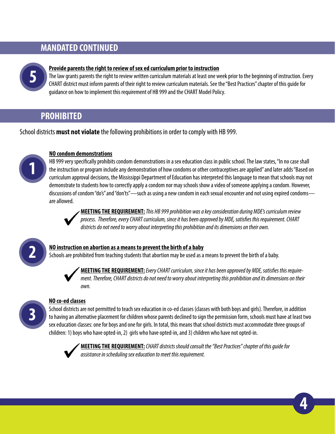# **MANDATED CONTINUED**



### **Provide parents the right to review of sex ed curriculum prior to instruction**

The law grants parents the right to review written curriculum materials at least one week prior to the beginning of instruction. Every CHART district must inform parents of their right to review curriculum materials. See the "Best Practices" chapter of this guide for guidance on how to implement this requirement of HB 999 and the CHART Model Policy.

# **PROHIBITED**

School districts **must not violate** the following prohibitions in order to comply with HB 999.



### **NO condom demonstrations**

HB 999 very specifically prohibits condom demonstrations in a sex education class in public school. The law states, "In no case shall the instruction or program include any demonstration of how condoms or other contraceptives are applied" and later adds "Based on curriculum approval decisions, the Mississippi Department of Education has interpreted this language to mean that schools may not demonstrate to students how to correctly apply a condom nor may schools show a video of someone applying a condom. However, discussions of condom "do's" and "don'ts"—such as using a new condom in each sexual encounter and not using expired condoms are allowed.



**MEETING THE REQUIREMENT:***This HB 999 prohibition was a key consideration during MDE's curriculum review process. Therefore, every CHART curriculum, since it has been approved by MDE, satisfies this requirement. CHART districts do not need to worry about interpreting this prohibition and its dimensions on their own.* 



**3**

### **NO instruction on abortion as a means to prevent the birth of a baby**

Schools are prohibited from teaching students that abortion may be used as a means to prevent the birth of a baby.



**MEETING THE REQUIREMENT:** *Every CHART curriculum, since it has been approved by MDE, satisfies this requirement. Therefore, CHART districts do not need to worry about interpreting this prohibition and its dimensions on their own.* 

### **NO co-ed classes**

School districts are not permitted to teach sex education in co-ed classes (classes with both boys and girls). Therefore, in addition to having an alternative placement for children whose parents declined to sign the permission form, schools must have at least two sex education classes: one for boys and one for girls. In total, this means that school districts must accommodate three groups of children: 1) boys who have opted-in, 2) girls who have opted-in, and 3) children who have not opted-in.



**MEETING THE REQUIREMENT:***CHART districts should consult the "Best Practices" chapter of this guide for assistance in scheduling sex education to meet this requirement.*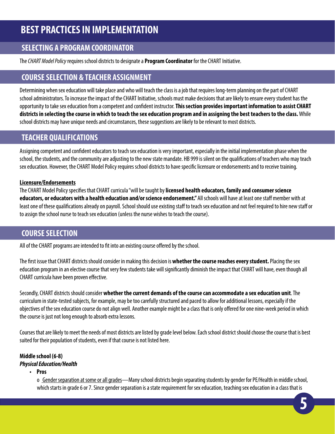# <span id="page-6-0"></span>**BEST PRACTICES IN IMPLEMENTATION**

## **SELECTING A PROGRAM COORDINATOR**

The *CHART Model Policy* requires school districts to designate a **Program Coordinator** for the CHART Initiative.

# **COURSE SELECTION & TEACHER ASSIGNMENT**

Determining when sex education will take place and who will teach the class is a job that requires long-term planning on the part of CHART school administrators. To increase the impact of the CHART Initiative, schools must make decisions that are likely to ensure every student has the opportunity to take sex education from a competent and confident instructor. **This section provides important information to assist CHART districts in selecting the course in which to teach the sex education program and in assigning the best teachers to the class.** While school districts may have unique needs and circumstances, these suggestions are likely to be relevant to most districts.

# **TEACHER QUALIFICATIONS**

Assigning competent and confident educators to teach sex education is very important, especially in the initial implementation phase when the school, the students, and the community are adjusting to the new state mandate. HB 999 is silent on the qualifications of teachers who may teach sex education. However, the CHART Model Policy requires school districts to have specific licensure or endorsements and to receive training.

### **Licensure/Endorsements**

The CHART Model Policy specifies that CHART curricula "will be taught by **licensed health educators, family and consumer science educators, or educators with a health education and/or science endorsement."** All schools will have at least one staff member with at least one of these qualifications already on payroll. School should use existing staff to teach sex education and not feel required to hire new staff or to assign the school nurse to teach sex education (unless the nurse wishes to teach the course).

### **COURSE SELECTION**

All of the CHART programs are intended to fit into an existing course offered by the school.

The first issue that CHART districts should consider in making this decision is **whether the course reaches every student.** Placing the sex education program in an elective course that very few students take will significantly diminish the impact that CHART will have, even though all CHART curricula have been proven effective.

Secondly, CHART districts should consider **whether the current demands of the course can accommodate a sex education unit**. The curriculum in state-tested subjects, for example, may be too carefully structured and paced to allow for additional lessons, especially if the objectives of the sex education course do not align well. Another example might be a class that is only offered for one nine-week period in which the course is just not long enough to absorb extra lessons.

Courses that are likely to meet the needs of most districts are listed by grade level below. Each school district should choose the course that is best suited for their population of students, even if that course is not listed here.

#### **Middle school (6-8)** *Physical Education/Health*

**• Pros**

o Gender separation at some or all grades—Many school districts begin separating students by gender for PE/Health in middle school, which starts in grade 6 or 7. Since gender separation is a state requirement for sex education, teaching sex education in a class that is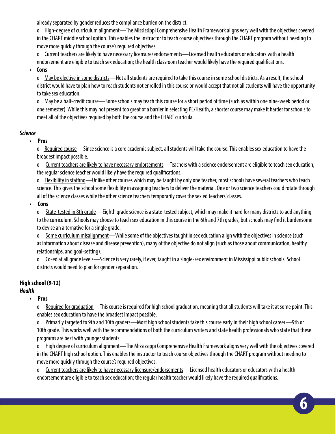already separated by gender reduces the compliance burden on the district.

o High-degree of curriculum alignment—The Mississippi Comprehensive Health Framework aligns very well with the objectives covered in the CHART middle school option. This enables the instructor to teach course objectives through the CHART program without needing to move more quickly through the course's required objectives.

o Current teachers are likely to have necessary licensure/endorsements—Licensed health educators or educators with a health endorsement are eligible to teach sex education; the health classroom teacher would likely have the required qualifications.

### **• Cons**

o May be elective in some districts—Not all students are required to take this course in some school districts. As a result, the school district would have to plan how to reach students not enrolled in this course or would accept that not all students will have the opportunity to take sex education.

o May be a half-credit course—Some schools may teach this course for a short period of time (such as within one nine-week period or one semester). While this may not present too great of a barrier in selecting PE/Health, a shorter course may make it harder for schools to meet all of the objectives required by both the course and the CHART curricula.

### *Science*

### **• Pros**

o Required course—Since science is a core academic subject, all students will take the course. This enables sex education to have the broadest impact possible.

o Current teachers are likely to have necessary endorsements—Teachers with a science endorsement are eligible to teach sex education; the regular science teacher would likely have the required qualifications.

o Flexibility in staffing—Unlike other courses which may be taught by only one teacher, most schools have several teachers who teach science. This gives the school some flexibility in assigning teachers to deliver the material. One or two science teachers could rotate through all of the science classes while the other science teachers temporarily cover the sex ed teachers' classes.

### **• Cons**

o State-tested in 8th grade—Eighth grade science is a state-tested subject, which may make it hard for many districts to add anything to the curriculum. Schools may choose to teach sex education in this course in the 6th and 7th grades, but schools may find it burdensome to devise an alternative for a single grade.

Some curriculum misalignment—While some of the objectives taught in sex education align with the objectives in science (such as information about disease and disease prevention), many of the objective do not align (such as those about communication, healthy relationships, and goal-setting).

o Co-ed at all grade levels—Science is very rarely, if ever, taught in a single-sex environment in Mississippi public schools. School districts would need to plan for gender separation.

### **High school (9-12)**

### *Health*

### **• Pros**

o Required for graduation—This course is required for high school graduation, meaning that all students will take it at some point. This enables sex education to have the broadest impact possible.

o Primarily targeted to 9th and 10th graders—Most high school students take this course early in their high school career—9th or 10th grade. This works well with the recommendations of both the curriculum writers and state health professionals who state that these programs are best with younger students.

o High degree of curriculum alignment—The Mississippi Comprehensive Health Framework aligns very well with the objectives covered in the CHART high school option. This enables the instructor to teach course objectives through the CHART program without needing to move more quickly through the course's required objectives.

o Current teachers are likely to have necessary licensure/endorsements—Licensed health educators or educators with a health endorsement are eligible to teach sex education; the regular health teacher would likely have the required qualifications.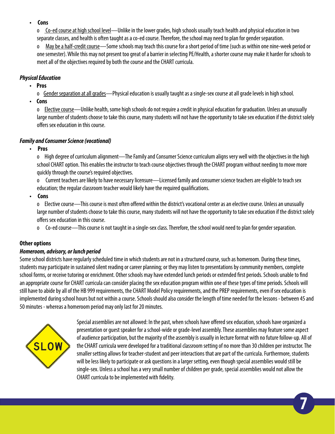### **• Cons**

o Co-ed course at high school level—Unlike in the lower grades, high schools usually teach health and physical education in two separate classes, and health is often taught as a co-ed course. Therefore, the school may need to plan for gender separation.

o May be a half-credit course—Some schools may teach this course for a short period of time (such as within one nine-week period or one semester). While this may not present too great of a barrier in selecting PE/Health, a shorter course may make it harder for schools to meet all of the objectives required by both the course and the CHART curricula.

### *Physical Education*

**• Pros**

o Gender separation at all grades—Physical education is usually taught as a single-sex course at all grade levels in high school.

**• Cons**

o Elective course—Unlike health, some high schools do not require a credit in physical education for graduation. Unless an unusually large number of students choose to take this course, many students will not have the opportunity to take sex education if the district solely offers sex education in this course.

### *Family and Consumer Science (vocational)*

**• Pros**

o High degree of curriculum alignment—The Family and Consumer Science curriculum aligns very well with the objectives in the high school CHART option. This enables the instructor to teach course objectives through the CHART program without needing to move more quickly through the course's required objectives.

o Current teachers are likely to have necessary licensure—Licensed family and consumer science teachers are eligible to teach sex education; the regular classroom teacher would likely have the required qualifications.

**• Cons**

o Elective course—This course is most often offered within the district's vocational center as an elective course. Unless an unusually large number of students choose to take this course, many students will not have the opportunity to take sex education if the district solely offers sex education in this course.

o Co-ed course—This course is not taught in a single-sex class. Therefore, the school would need to plan for gender separation.

### **Other options**

### *Homeroom, advisory, or lunch period*

Some school districts have regularly scheduled time in which students are not in a structured course, such as homeroom. During these times, students may participate in sustained silent reading or career planning; or they may listen to presentations by community members, complete school forms, or receive tutoring or enrichment. Other schools may have extended lunch periods or extended first periods. Schools unable to find an appropriate course for CHART curricula can consider placing the sex education program within one of these types of time periods. Schools will still have to abide by all of the HB 999 requirements, the CHART Model Policy requirements, and the PREP requirements, even if sex education is implemented during school hours but not within a course. Schools should also consider the length of time needed for the lessons - between 45 and 50 minutes - whereas a homeroom period may only last for 20 minutes.



Special assemblies are not allowed: In the past, when schools have offered sex education, schools have organized a presentation or guest speaker for a school-wide or grade-level assembly. These assemblies may feature some aspect of audience participation, but the majority of the assembly is usually in lecture format with no future follow-up. All of the CHART curricula were developed for a traditional classroom setting of no more than 30 children per instructor. The smaller setting allows for teacher-student and peer interactions that are part of the curricula. Furthermore, students will be less likely to participate or ask questions in a larger setting, even though special assemblies would still be single-sex. Unless a school has a very small number of children per grade, special assemblies would not allow the CHART curricula to be implemented with fidelity.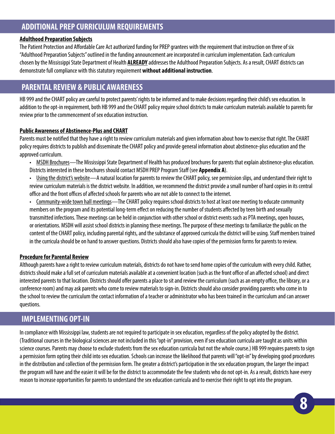# **ADDITIONAL PREP CURRICULUM REQUIREMENTS**

### **Adulthood Preparation Subjects**

The Patient Protection and Affordable Care Act authorized funding for PREP grantees with the requirement that instruction on three of six "Adulthood Preparation Subjects" outlined in the funding announcement are incorporated in curriculum implementation. Each curriculum chosen by the Mississippi State Department of Health **ALREADY** addresses the Adulthood Preparation Subjects. As a result, CHART districts can demonstrate full compliance with this statutory requirement **without additional instruction**.

### **PARENTAL REVIEW & PUBLIC AWARENESS**

HB 999 and the CHART policy are careful to protect parents' rights to be informed and to make decisions regarding their child's sex education. In addition to the opt-in requirement, both HB 999 and the CHART policy require school districts to make curriculum materials available to parents for review prior to the commencement of sex education instruction.

### **Public Awareness of Abstinence-Plus and CHART**

Parents must be notified that they have a right to review curriculum materials and given information about how to exercise that right. The CHART policy requires districts to publish and disseminate the CHART policy and provide general information about abstinence-plus education and the approved curriculum.

- MSDH Brochures—The Mississippi State Department of Health has produced brochures for parents that explain abstinence-plus education. Districts interested in these brochures should contact MSDH PREP Program Staff (see **Appendix A**).
- Using the district's website—A natural location for parents to review the CHART policy, see permission slips, and understand their right to review curriculum materials is the district website. In addition, we recommend the district provide a small number of hard copies in its central office and the front offices of affected schools for parents who are not able to connect to the internet.

• Community-wide town hall meetings—The CHART policy requires school districts to host at least one meeting to educate community members on the program and its potential long-term effect on reducing the number of students affected by teen birth and sexually transmitted infections. These meetings can be held in conjunction with other school or district events such as PTA meetings, open houses, or orientations. MSDH will assist school districts in planning these meetings. The purpose of these meetings to familiarize the public on the content of the CHART policy, including parental rights, and the substance of approved curricula the district will be using. Staff members trained in the curricula should be on hand to answer questions. Districts should also have copies of the permission forms for parents to review.

### **Procedure for Parental Review**

Although parents have a right to review curriculum materials, districts do not have to send home copies of the curriculum with every child. Rather, districts should make a full set of curriculum materials available at a convenient location (such as the front office of an affected school) and direct interested parents to that location. Districts should offer parents a place to sit and review the curriculum (such as an empty office, the library, or a conference room) and may ask parents who come to review materials to sign-in. Districts should also consider providing parents who come in to the school to review the curriculum the contact information of a teacher or administrator who has been trained in the curriculum and can answer questions.

### **IMPLEMENTING OPT-IN**

In compliance with Mississippi law, students are not required to participate in sex education, regardless of the policy adopted by the district. (Traditional courses in the biological sciences are not included in this "opt-in" provision, even if sex education curricula are taught as units within science courses. Parents may choose to exclude students from the sex education curricula but not the whole course.) HB 999 requires parents to sign a permission form opting their child into sex education. Schools can increase the likelihood that parents will "opt-in" by developing good procedures in the distribution and collection of the permission form. The greater a district's participation in the sex education program, the larger the impact the program will have and the easier it will be for the district to accommodate the few students who do not opt-in. As a result, districts have every reason to increase opportunities for parents to understand the sex education curricula and to exercise their right to opt into the program.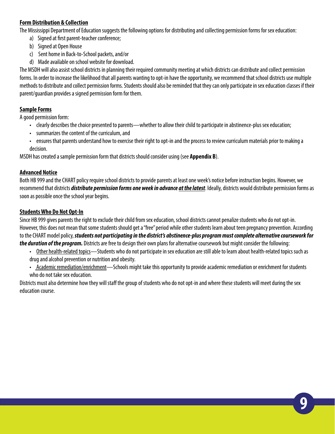### **Form Distribution & Collection**

The Mississippi Department of Education suggests the following options for distributing and collecting permission forms for sex education:

- a) Signed at first parent-teacher conference;
- b) Signed at Open House
- c) Sent home in Back-to-School packets, and/or
- d) Made available on school website for download.

The MSDH will also assist school districts in planning their required community meeting at which districts can distribute and collect permission forms. In order to increase the likelihood that all parents wanting to opt-in have the opportunity, we recommend that school districts use multiple methods to distribute and collect permission forms. Students should also be reminded that they can only participate in sex education classes if their parent/guardian provides a signed permission form for them.

### **Sample Forms**

A good permission form:

- clearly describes the choice presented to parents—whether to allow their child to participate in abstinence-plus sex education;
- summarizes the content of the curriculum, and
- ensures that parents understand how to exercise their right to opt-in and the process to review curriculum materials prior to making a decision.

MSDH has created a sample permission form that districts should consider using (see **Appendix B**).

### **Advanced Notice**

Both HB 999 and the CHART policy require school districts to provide parents at least one week's notice before instruction begins. However, we recommend that districts *distribute permission forms one week in advance at the latest*. Ideally, districts would distribute permission forms as soon as possible once the school year begins.

### **Students Who Do Not Opt-In**

Since HB 999 gives parents the right to exclude their child from sex education, school districts cannot penalize students who do not opt-in. However, this does not mean that some students should get a "free" period while other students learn about teen pregnancy prevention. According to the CHART model policy, *students not participating in the district's abstinence-plus program must complete alternative coursework for the duration of the program.* Districts are free to design their own plans for alternative coursework but might consider the following:

- Other health-related topics—Students who do not participate in sex education are still able to learn about health-related topics such as drug and alcohol prevention or nutrition and obesity.
- Academic remediation/enrichment—Schools might take this opportunity to provide academic remediation or enrichment for students who do not take sex education.

Districts must also determine how they will staff the group of students who do not opt-in and where these students will meet during the sex education course.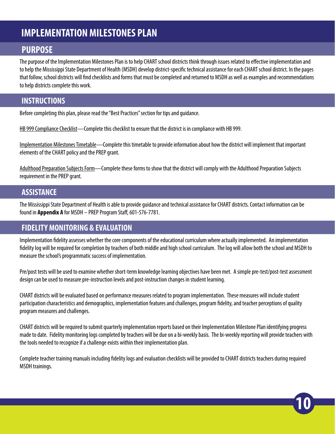# <span id="page-11-0"></span>**IMPLEMENTATION MILESTONES PLAN**

# **PURPOSE**

The purpose of the Implementation Milestones Plan is to help CHART school districts think through issues related to effective implementation and to help the Mississippi State Department of Health (MSDH) develop district-specific technical assistance for each CHART school district. In the pages that follow, school districts will find checklists and forms that must be completed and returned to MSDH as well as examples and recommendations to help districts complete this work.

# **INSTRUCTIONS**

Before completing this plan, please read the "Best Practices" section for tips and guidance.

HB 999 Compliance Checklist—Complete this checklist to ensure that the district is in compliance with HB 999.

Implementation Milestones Timetable—Complete this timetable to provide information about how the district will implement that important elements of the CHART policy and the PREP grant.

Adulthood Preparation Subjects Form—Complete these forms to show that the district will comply with the Adulthood Preparation Subjects requirement in the PREP grant.

## **ASSISTANCE**

The Mississippi State Department of Health is able to provide guidance and technical assistance for CHART districts. Contact information can be found in **Appendix A** for MSDH – PREP Program Staff, 601-576-7781.

## **FIDELITY MONITORING & EVALUATION**

Implementation fidelity assesses whether the core components of the educational curriculum where actually implemented. An implementation fidelity log will be required for completion by teachers of both middle and high school curriculum. The log will allow both the school and MSDH to measure the school's programmatic success of implementation.

Pre/post tests will be used to examine whether short-term knowledge learning objectives have been met. A simple pre-test/post-test assessment design can be used to measure pre-instruction levels and post-instruction changes in student learning.

CHART districts will be evaluated based on performance measures related to program implementation. These measures will include student participation characteristics and demographics, implementation features and challenges, program fidelity, and teacher perceptions of quality program measures and challenges.

CHART districts will be required to submit quarterly implementation reports based on their Implementation Milestone Plan identifying progress made to date. Fidelity monitoring logs completed by teachers will be due on a bi-weekly basis. The bi-weekly reporting will provide teachers with the tools needed to recognize if a challenge exists within their implementation plan.

Complete teacher training manuals including fidelity logs and evaluation checklists will be provided to CHART districts teachers during required MSDH trainings.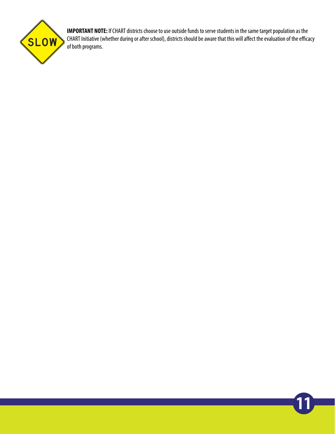

**IMPORTANT NOTE:** If CHART districts choose to use outside funds to serve students in the same target population as the CHART Initiative (whether during or after school), districts should be aware that this will affect the evaluation of the efficacy of both programs.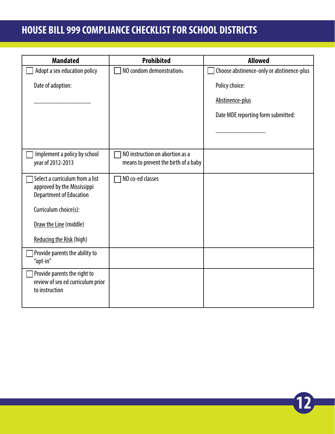# **HOUSE BILL 999 COMPLIANCE CHECKLIST FOR SCHOOL DISTRICTS**

| <b>Mandated</b>                                                                                  | <b>Prohibited</b>                                                       | <b>Allowed</b>                            |
|--------------------------------------------------------------------------------------------------|-------------------------------------------------------------------------|-------------------------------------------|
| Adopt a sex education policy                                                                     | NO condom demonstrations                                                | Choose abstinence-only or abstinence-plus |
| Date of adoption:                                                                                |                                                                         | Policy choice:                            |
|                                                                                                  |                                                                         | Abstinence-plus                           |
|                                                                                                  |                                                                         | Date MDE reporting form submitted:        |
|                                                                                                  |                                                                         |                                           |
| Implement a policy by school<br>year of 2012-2013                                                | NO instruction on abortion as a<br>means to prevent the birth of a baby |                                           |
| Select a curriculum from a list<br>approved by the Mississippi<br><b>Department of Education</b> | NO co-ed classes                                                        |                                           |
| Curriculum choice(s):                                                                            |                                                                         |                                           |
| Draw the Line (middle)                                                                           |                                                                         |                                           |
| Reducing the Risk (high)                                                                         |                                                                         |                                           |
| Provide parents the ability to<br>"opt-in"                                                       |                                                                         |                                           |
| Provide parents the right to<br>review of sex ed curriculum prior<br>to instruction              |                                                                         |                                           |

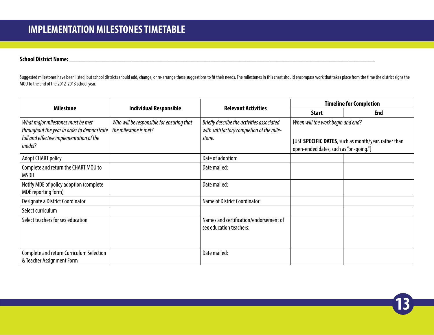### **School District Name:\_\_\_\_\_\_\_\_\_\_\_\_\_\_\_\_\_\_\_\_\_\_\_\_\_\_\_\_\_\_\_\_\_\_\_\_\_\_\_\_\_\_\_\_\_\_\_\_\_\_\_\_\_\_\_\_\_\_\_\_\_\_\_\_\_\_\_\_\_\_\_\_\_\_\_\_\_\_\_\_\_\_\_\_\_\_\_\_\_\_\_\_\_**

Suggested milestones have been listed, but school districts should add, change, or re-arrange these suggestions to fit their needs. The milestones in this chart should encompass work that takes place from the time the dist MOU to the end of the 2012-2013 school year.

| <b>Milestone</b>                                                                                                                       |                                                                    | <b>Relevant Activities</b>                                                                        |                                                                             | <b>Timeline for Completion</b>                       |
|----------------------------------------------------------------------------------------------------------------------------------------|--------------------------------------------------------------------|---------------------------------------------------------------------------------------------------|-----------------------------------------------------------------------------|------------------------------------------------------|
|                                                                                                                                        | <b>Individual Responsible</b>                                      |                                                                                                   | <b>Start</b>                                                                | End                                                  |
| What major milestones must be met<br>throughout the year in order to demonstrate<br>full and effective implementation of the<br>model? | Who will be responsible for ensuring that<br>the milestone is met? | Briefly describe the activities associated<br>with satisfactory completion of the mile-<br>stone. | When will the work begin and end?<br>open-ended dates, such as "on-going."] | [USE SPECIFIC DATES, such as month/year, rather than |
| <b>Adopt CHART policy</b>                                                                                                              |                                                                    | Date of adoption:                                                                                 |                                                                             |                                                      |
| Complete and return the CHART MOU to<br>MSDH                                                                                           |                                                                    | Date mailed:                                                                                      |                                                                             |                                                      |
| Notify MDE of policy adoption (complete<br>MDE reporting form)                                                                         |                                                                    | Date mailed:                                                                                      |                                                                             |                                                      |
| Designate a District Coordinator                                                                                                       |                                                                    | <b>Name of District Coordinator:</b>                                                              |                                                                             |                                                      |
| Select curriculum                                                                                                                      |                                                                    |                                                                                                   |                                                                             |                                                      |
| Select teachers for sex education                                                                                                      |                                                                    | Names and certification/endorsement of<br>sex education teachers:                                 |                                                                             |                                                      |
| <b>Complete and return Curriculum Selection</b><br>& Teacher Assignment Form                                                           |                                                                    | Date mailed:                                                                                      |                                                                             |                                                      |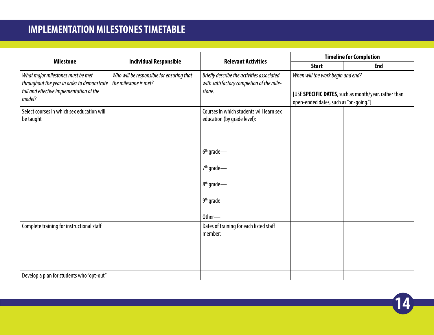# <span id="page-15-0"></span>**IMPLEMENTATION MILESTONES TIMETABLE**

|                                                                                                                                        |                                                                    |                                                                                                   |                                                                             |                                                      | <b>Timeline for Completion</b> |
|----------------------------------------------------------------------------------------------------------------------------------------|--------------------------------------------------------------------|---------------------------------------------------------------------------------------------------|-----------------------------------------------------------------------------|------------------------------------------------------|--------------------------------|
| <b>Milestone</b>                                                                                                                       | <b>Individual Responsible</b>                                      | <b>Relevant Activities</b>                                                                        | <b>Start</b>                                                                | <b>End</b>                                           |                                |
| What major milestones must be met<br>throughout the year in order to demonstrate<br>full and effective implementation of the<br>model? | Who will be responsible for ensuring that<br>the milestone is met? | Briefly describe the activities associated<br>with satisfactory completion of the mile-<br>stone. | When will the work begin and end?<br>open-ended dates, such as "on-going."] | [USE SPECIFIC DATES, such as month/year, rather than |                                |
| Select courses in which sex education will<br>be taught                                                                                |                                                                    | Courses in which students will learn sex<br>education (by grade level):<br>$6th$ grade —          |                                                                             |                                                      |                                |
|                                                                                                                                        |                                                                    | 7 <sup>th</sup> grade-<br>8 <sup>th</sup> grade-<br>9 <sup>th</sup> grade-<br>Other-              |                                                                             |                                                      |                                |
| Complete training for instructional staff<br>Develop a plan for students who "opt-out"                                                 |                                                                    | Dates of training for each listed staff<br>member:                                                |                                                                             |                                                      |                                |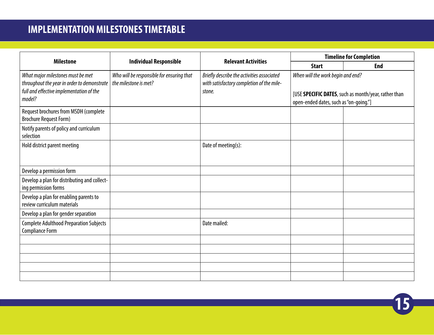| <b>Milestone</b>                                                                                                                       |                                                                    | <b>Relevant Activities</b>                                                                        |                                                                             | <b>Timeline for Completion</b>                       |
|----------------------------------------------------------------------------------------------------------------------------------------|--------------------------------------------------------------------|---------------------------------------------------------------------------------------------------|-----------------------------------------------------------------------------|------------------------------------------------------|
|                                                                                                                                        | <b>Individual Responsible</b>                                      |                                                                                                   | <b>Start</b>                                                                | <b>End</b>                                           |
| What major milestones must be met<br>throughout the year in order to demonstrate<br>full and effective implementation of the<br>model? | Who will be responsible for ensuring that<br>the milestone is met? | Briefly describe the activities associated<br>with satisfactory completion of the mile-<br>stone. | When will the work begin and end?<br>open-ended dates, such as "on-going."] | [USE SPECIFIC DATES, such as month/year, rather than |
| Request brochures from MSDH (complete<br><b>Brochure Request Form)</b>                                                                 |                                                                    |                                                                                                   |                                                                             |                                                      |
| Notify parents of policy and curriculum<br>selection                                                                                   |                                                                    |                                                                                                   |                                                                             |                                                      |
| Hold district parent meeting                                                                                                           |                                                                    | Date of meeting(s):                                                                               |                                                                             |                                                      |
| Develop a permission form                                                                                                              |                                                                    |                                                                                                   |                                                                             |                                                      |
| Develop a plan for distributing and collect-<br>ing permission forms                                                                   |                                                                    |                                                                                                   |                                                                             |                                                      |
| Develop a plan for enabling parents to<br>review curriculum materials                                                                  |                                                                    |                                                                                                   |                                                                             |                                                      |
| Develop a plan for gender separation                                                                                                   |                                                                    |                                                                                                   |                                                                             |                                                      |
| <b>Complete Adulthood Preparation Subjects</b><br><b>Compliance Form</b>                                                               |                                                                    | Date mailed:                                                                                      |                                                                             |                                                      |
|                                                                                                                                        |                                                                    |                                                                                                   |                                                                             |                                                      |
|                                                                                                                                        |                                                                    |                                                                                                   |                                                                             |                                                      |
|                                                                                                                                        |                                                                    |                                                                                                   |                                                                             |                                                      |
|                                                                                                                                        |                                                                    |                                                                                                   |                                                                             |                                                      |
|                                                                                                                                        |                                                                    |                                                                                                   |                                                                             |                                                      |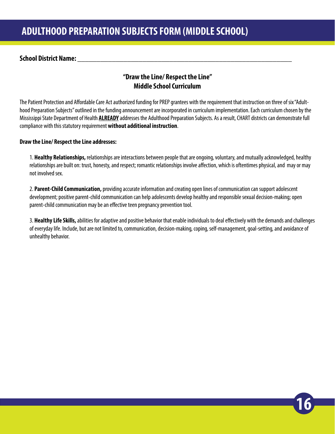### <span id="page-17-0"></span>**School District Name: \_\_\_\_\_\_\_\_\_\_\_\_\_\_\_\_\_\_\_\_\_\_\_\_\_\_\_\_\_\_\_\_\_\_\_\_\_\_\_\_\_\_\_\_\_\_\_\_\_\_\_\_\_\_\_\_**

### **"Draw the Line/ Respect the Line" Middle School Curriculum**

The Patient Protection and Affordable Care Act authorized funding for PREP grantees with the requirement that instruction on three of six "Adulthood Preparation Subjects" outlined in the funding announcement are incorporated in curriculum implementation. Each curriculum chosen by the Mississippi State Department of Health **ALREADY** addresses the Adulthood Preparation Subjects. As a result, CHART districts can demonstrate full compliance with this statutory requirement **without additional instruction**.

### **Draw the Line/ Respect the Line addresses:**

1. **Healthy Relationships,** relationships are interactions between people that are ongoing, voluntary, and mutually acknowledged, healthy relationships are built on: trust, honesty, and respect; romantic relationships involve affection, which is oftentimes physical, and may or may not involved sex.

2. **Parent-Child Communication,** providing accurate information and creating open lines of communication can support adolescent development; positive parent-child communication can help adolescents develop healthy and responsible sexual decision-making; open parent-child communication may be an effective teen pregnancy prevention tool.

3. **Healthy Life Skills,** abilities for adaptive and positive behavior that enable individuals to deal effectively with the demands and challenges of everyday life. Include, but are not limited to, communication, decision-making, coping, self-management, goal-setting, and avoidance of unhealthy behavior.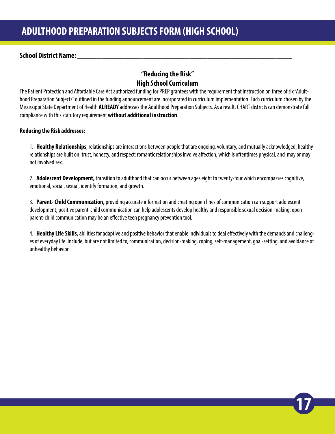### <span id="page-18-0"></span>**School District Name: \_\_\_\_\_\_\_\_\_\_\_\_\_\_\_\_\_\_\_\_\_\_\_\_\_\_\_\_\_\_\_\_\_\_\_\_\_\_\_\_\_\_\_\_\_\_\_\_\_\_\_\_\_\_\_\_**

## **"Reducing the Risk" High School Curriculum**

The Patient Protection and Affordable Care Act authorized funding for PREP grantees with the requirement that instruction on three of six "Adulthood Preparation Subjects" outlined in the funding announcement are incorporated in curriculum implementation. Each curriculum chosen by the Mississippi State Department of Health **ALREADY** addresses the Adulthood Preparation Subjects. As a result, CHART districts can demonstrate full compliance with this statutory requirement **without additional instruction**.

### **Reducing the Risk addresses:**

1. **Healthy Relationships**, relationships are interactions between people that are ongoing, voluntary, and mutually acknowledged, healthy relationships are built on: trust, honesty, and respect; romantic relationships involve affection, which is oftentimes physical, and may or may not involved sex.

2. **Adolescent Development,** transition to adulthood that can occur between ages eight to twenty-four which encompasses cognitive, emotional, social, sexual, identify formation, and growth.

3. **Parent- Child Communication,** providing accurate information and creating open lines of communication can support adolescent development; positive parent-child communication can help adolescents develop healthy and responsible sexual decision-making; open parent-child communication may be an effective teen pregnancy prevention tool.

4. **Healthy Life Skills,** abilities for adaptive and positive behavior that enable individuals to deal effectively with the demands and challenges of everyday life. Include, but are not limited to, communication, decision-making, coping, self-management, goal-setting, and avoidance of unhealthy behavior.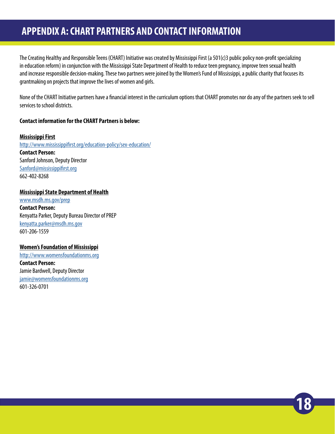# <span id="page-19-0"></span>**APPENDIX A: CHART PARTNERS AND CONTACT INFORMATION**

The Creating Healthy and Responsible Teens (CHART) Initiative was created by Mississippi First (a 501(c)3 public policy non-profit specializing in education reform) in conjunction with the Mississippi State Department of Health to reduce teen pregnancy, improve teen sexual health and increase responsible decision-making. These two partners were joined by the Women's Fund of Mississippi, a public charity that focuses its grantmaking on projects that improve the lives of women and girls.

None of the CHART Initiative partners have a financial interest in the curriculum options that CHART promotes nor do any of the partners seek to sell services to school districts.

**18**

### **Contact information for the CHART Partners is below:**

#### **Mississippi First**

[http://www.mississippifirst.org/education-policy/sex-education/](http://www.mississippifirst.org/education-policy/sex-education/ ) **Contact Person:**  Sanford Johnson, Deputy Director [Sanford@mississippifirst.org](mailto:Sanford%40mississippifirst.org%20?subject=) 662-402-8268

#### **Mississippi State Department of Health**

[www.msdh.ms.gov/prep](http://www.msdh.ms.gov/prep ) **Contact Person:**  Kenyatta Parker, Deputy Bureau Director of PREP kenyatta.parker@msdh.ms.gov 601-206-1559

#### **Women's Foundation of Mississippi**

<http://www.womensfoundationms.org> **Contact Person:**  Jamie Bardwell, Deputy Director jamie@womensfoundationms.org 601-326-0701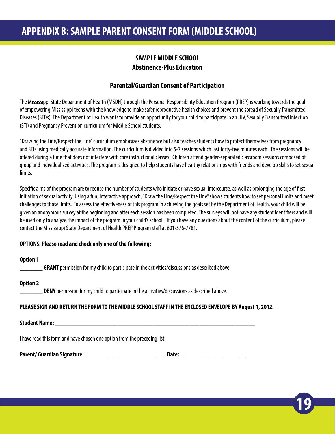### **SAMPLE MIDDLE SCHOOL Abstinence-Plus Education**

### **Parental/Guardian Consent of Participation**

<span id="page-20-0"></span>The Mississippi State Department of Health (MSDH) through the Personal Responsibility Education Program (PREP) is working towards the goal of empowering Mississippi teens with the knowledge to make safer reproductive health choices and prevent the spread of Sexually Transmitted Diseases (STDs). The Department of Health wants to provide an opportunity for your child to participate in an HIV, Sexually Transmitted Infection (STI) and Pregnancy Prevention curriculum for Middle School students.

"Drawing the Line/Respect the Line" curriculum emphasizes abstinence but also teaches students how to protect themselves from pregnancy and STIs using medically accurate information. The curriculum is divided into 5-7 sessions which last forty-five minutes each. The sessions will be offered during a time that does not interfere with core instructional classes. Children attend gender-separated classroom sessions composed of group and individualized activities. The program is designed to help students have healthy relationships with friends and develop skills to set sexual limits.

Specific aims of the program are to reduce the number of students who initiate or have sexual intercourse, as well as prolonging the age of first initiation of sexual activity. Using a fun, interactive approach, "Draw the Line/Respect the Line" shows students how to set personal limits and meet challenges to those limits. To assess the effectiveness of this program in achieving the goals set by the Department of Health, your child will be given an anonymous survey at the beginning and after each session has been completed. The surveys will not have any student identifiers and will be used only to analyze the impact of the program in your child's school. If you have any questions about the content of the curriculum, please contact the Mississippi State Department of Health PREP Program staff at 601-576-7781.

**19**

### **OPTIONS: Please read and check only one of the following:**

### **Option 1**

**GRANT** permission for my child to participate in the activities/discussions as described above.

### **Option 2**

DENY permission for my child to participate in the activities/discussions as described above.

### **PLEASE SIGN AND RETURN THE FORM TO THE MIDDLE SCHOOL STAFF IN THE ENCLOSED ENVELOPE BY August 1, 2012.**

#### **Student Name: \_\_\_\_\_\_\_\_\_\_\_\_\_\_\_\_\_\_\_\_\_\_\_\_\_\_\_\_\_\_\_\_\_\_\_\_\_\_\_\_\_\_\_\_\_\_\_\_\_\_\_\_\_\_\_\_\_\_\_\_\_**

I have read this form and have chosen one option from the preceding list.

| <b>Parent/ Guardian Signature:</b> | Date: |
|------------------------------------|-------|
|------------------------------------|-------|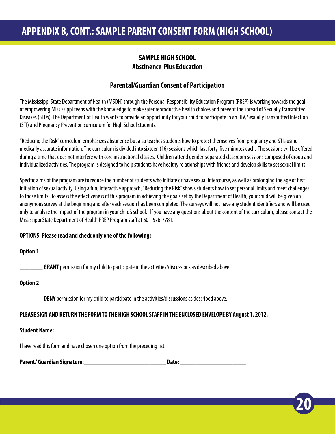### **SAMPLE HIGH SCHOOL Abstinence-Plus Education**

### **Parental/Guardian Consent of Participation**

<span id="page-21-0"></span>The Mississippi State Department of Health (MSDH) through the Personal Responsibility Education Program (PREP) is working towards the goal of empowering Mississippi teens with the knowledge to make safer reproductive health choices and prevent the spread of Sexually Transmitted Diseases (STDs). The Department of Health wants to provide an opportunity for your child to participate in an HIV, Sexually Transmitted Infection (STI) and Pregnancy Prevention curriculum for High School students.

"Reducing the Risk" curriculum emphasizes abstinence but also teaches students how to protect themselves from pregnancy and STIs using medically accurate information. The curriculum is divided into sixteen (16) sessions which last forty-five minutes each. The sessions will be offered during a time that does not interfere with core instructional classes. Children attend gender-separated classroom sessions composed of group and individualized activities. The program is designed to help students have healthy relationships with friends and develop skills to set sexual limits.

Specific aims of the program are to reduce the number of students who initiate or have sexual intercourse, as well as prolonging the age of first initiation of sexual activity. Using a fun, interactive approach, "Reducing the Risk" shows students how to set personal limits and meet challenges to those limits. To assess the effectiveness of this program in achieving the goals set by the Department of Health, your child will be given an anonymous survey at the beginning and after each session has been completed. The surveys will not have any student identifiers and will be used only to analyze the impact of the program in your child's school. If you have any questions about the content of the curriculum, please contact the Mississippi State Department of Health PREP Program staff at 601-576-7781.

### **OPTIONS: Please read and check only one of the following:**

### **Option 1**

**GRANT** permission for my child to participate in the activities/discussions as described above.

### **Option 2**

**DENY** permission for my child to participate in the activities/discussions as described above.

### **PLEASE SIGN AND RETURN THE FORM TO THE HIGH SCHOOL STAFF IN THE ENCLOSED ENVELOPE BY August 1, 2012.**

**20**

### **Student Name: \_\_\_\_\_\_\_\_\_\_\_\_\_\_\_\_\_\_\_\_\_\_\_\_\_\_\_\_\_\_\_\_\_\_\_\_\_\_\_\_\_\_\_\_\_\_\_\_\_\_\_\_\_\_\_\_\_\_\_\_\_**

I have read this form and have chosen one option from the preceding list.

| <b>Parent/Guardian Signature:</b> | Date: |
|-----------------------------------|-------|
|-----------------------------------|-------|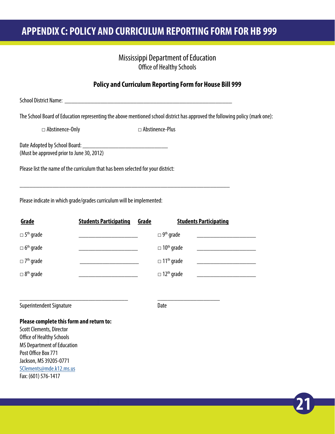# <span id="page-22-0"></span>**APPENDIX C: POLICY AND CURRICULUM REPORTING FORM FOR HB 999**

### Mississippi Department of Education Office of Healthy Schools

### **Policy and Curriculum Reporting Form for House Bill 999**

School District Name: \_\_\_\_\_\_\_\_\_\_\_\_\_\_\_\_\_\_\_\_\_\_\_\_\_\_\_\_\_\_\_\_\_\_\_\_\_\_\_\_\_\_\_\_\_\_\_\_\_\_\_

\_\_\_\_\_\_\_\_\_\_\_\_\_\_\_\_\_\_\_\_\_\_\_\_\_\_\_\_\_\_\_\_\_\_\_\_\_\_\_\_\_\_\_\_\_\_\_\_\_\_\_\_\_\_\_\_\_\_\_\_\_\_\_\_

\_\_\_\_\_\_\_\_\_\_\_\_\_\_\_\_\_\_\_\_\_\_\_\_\_\_\_\_\_\_\_\_\_ \_\_\_\_\_\_\_\_\_\_\_\_\_\_\_\_\_\_\_

The School Board of Education representing the above mentioned school district has approved the following policy (mark one):

□ Abstinence-Only □ △ Abstinence-Plus

Date Adopted by School Board: \_\_\_\_\_\_\_\_\_\_\_\_\_\_\_\_\_\_\_\_\_\_\_\_\_\_ (Must be approved prior to June 30, 2012)

Please list the name of the curriculum that has been selected for your district:

Please indicate in which grade/grades curriculum will be implemented:

| Grade                           | <b>Students Participating</b> | Grade | <b>Students Participating</b> |
|---------------------------------|-------------------------------|-------|-------------------------------|
| $\square$ 5 <sup>th</sup> grade |                               |       | $\Box$ 9 <sup>th</sup> grade  |
| $\Box$ 6 <sup>th</sup> grade    |                               |       | $\Box$ 10 <sup>th</sup> grade |
| $\square$ 7 <sup>th</sup> grade |                               |       | $\Box$ 11 <sup>th</sup> grade |
| $\Box$ 8 <sup>th</sup> grade    |                               |       | $\Box$ 12 <sup>th</sup> grade |

Superintendent Signature **Date** Date

**21**

#### **Please complete this form and return to:**

Scott Clements, Director Office of Healthy Schools MS Department of Education Post Office Box 771 Jackson, MS 39205-0771 [SClements@mde.k12.ms.us](mailto:SClements@mde.k12.ms.us) Fax: (601) 576-1417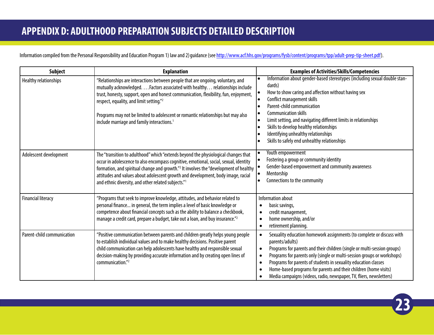# <span id="page-23-0"></span>**APPENDIX D: ADULTHOOD PREPARATION SUBJECTS DETAILED DESCRIPTION**

Information compiled from the Personal Responsibility and Education Program 1) law and 2) guidance (see<http://www.acf.hhs.gov/programs/fysb/content/programs/tpp/adult-prep-tip-sheet.pdf>).

| <b>Subject</b>             | <b>Explanation</b>                                                                                                                                                                                                                                                                                                                                                                                                                                            | <b>Examples of Activities/Skills/Competencies</b>                                                                                                                                                                                                                                                                                                                                                                                                                                                    |
|----------------------------|---------------------------------------------------------------------------------------------------------------------------------------------------------------------------------------------------------------------------------------------------------------------------------------------------------------------------------------------------------------------------------------------------------------------------------------------------------------|------------------------------------------------------------------------------------------------------------------------------------------------------------------------------------------------------------------------------------------------------------------------------------------------------------------------------------------------------------------------------------------------------------------------------------------------------------------------------------------------------|
| Healthy relationships      | "Relationships are interactions between people that are ongoing, voluntary, and<br>mutually acknowledged. Factors associated with healthy. relationships include<br>trust, honesty, support, open and honest communication, flexibility, fun, enjoyment,<br>respect, equality, and limit setting." <sup>2</sup><br>Programs may not be limited to adolescent or romantic relationships but may also<br>include marriage and family interactions. <sup>1</sup> | Information about gender-based stereotypes (including sexual double stan-<br>dards)<br>How to show caring and affection without having sex<br>Conflict management skills<br>le<br>Parent-child communication<br><b>Communication skills</b><br>$\bullet$<br>Limit setting, and navigating different limits in relationships<br>Skills to develop healthy relationships<br>Identifying unhealthy relationships<br>Skills to safely end unhealthy relationships                                        |
| Adolescent development     | The "transition to adulthood" which "extends beyond the physiological changes that<br>occur in adolescence to also encompass cognitive, emotional, social, sexual, identity<br>formation, and spiritual change and growth." <sup>2</sup> It involves the "development of healthy<br>attitudes and values about adolescent growth and development, body image, racial<br>and ethnic diversity, and other related subjects."1                                   | Youth empowerment<br>Fostering a group or community identity<br>Gender-based empowerment and community awareness<br>Mentorship<br>Connections to the community                                                                                                                                                                                                                                                                                                                                       |
| <b>Financial literacy</b>  | "Programs that seek to improve knowledge, attitudes, and behavior related to<br>personal finance in general, the term implies a level of basic knowledge or<br>competence about financial concepts such as the ability to balance a checkbook,<br>manage a credit card, prepare a budget, take out a loan, and buy insurance." <sup>2</sup>                                                                                                                   | Information about<br>basic savings,<br>credit management,<br>home ownership, and/or<br>$\bullet$<br>retirement planning.<br>$\bullet$                                                                                                                                                                                                                                                                                                                                                                |
| Parent-child communication | "Positive communication between parents and children greatly helps young people<br>to establish individual values and to make healthy decisions. Positive parent<br>child communication can help adolescents have healthy and responsible sexual<br>decision-making by providing accurate information and by creating open lines of<br>communication."                                                                                                        | Sexuality education homework assignments (to complete or discuss with<br>parents/adults)<br>Programs for parents and their children (single or multi-session groups)<br>$\bullet$<br>Programs for parents only (single or multi-session groups or workshops)<br>$\bullet$<br>Programs for parents of students in sexuality education classes<br>$\bullet$<br>Home-based programs for parents and their children (home visits)<br>Media campaigns (videos, radio, newspaper, TV, fliers, newsletters) |